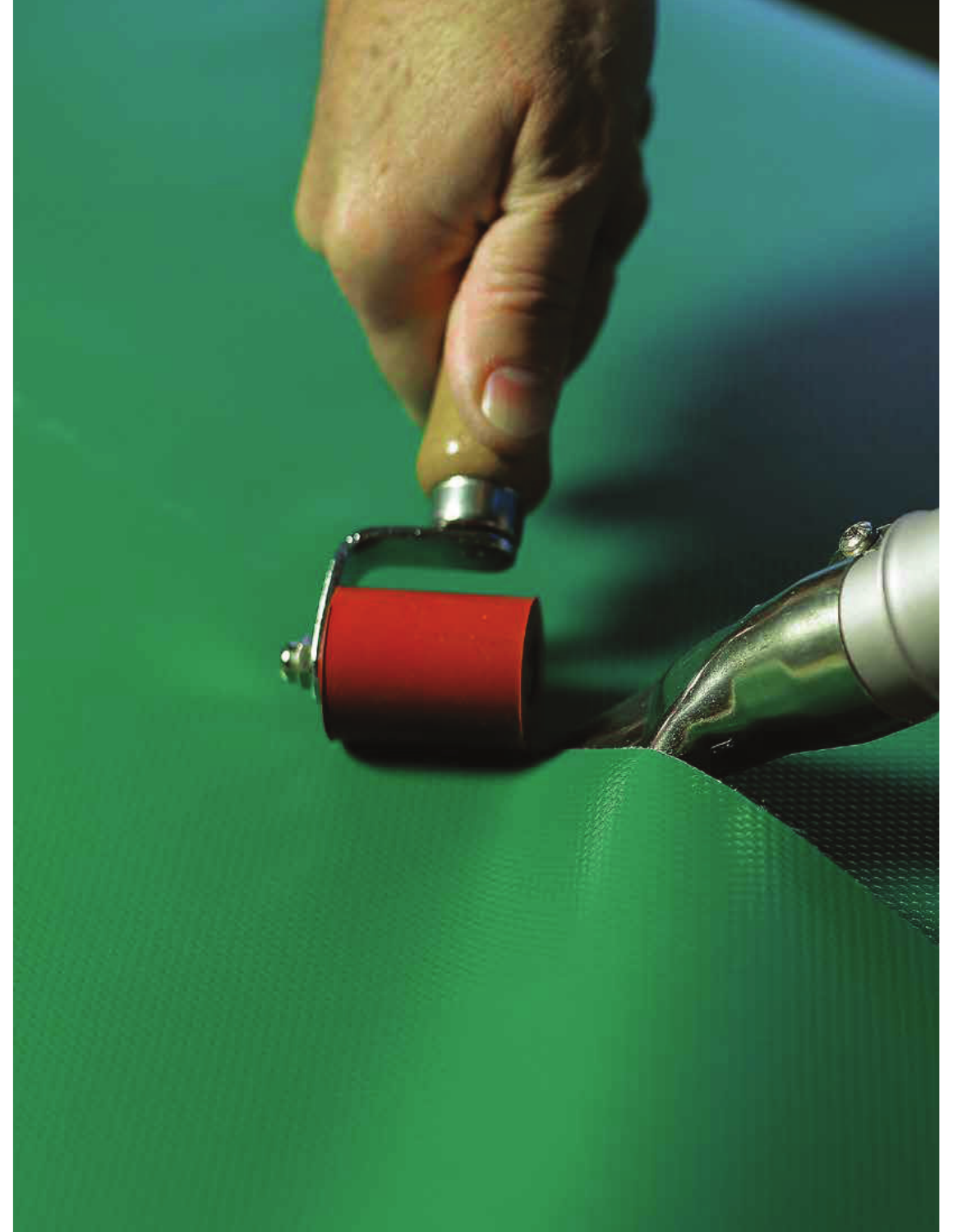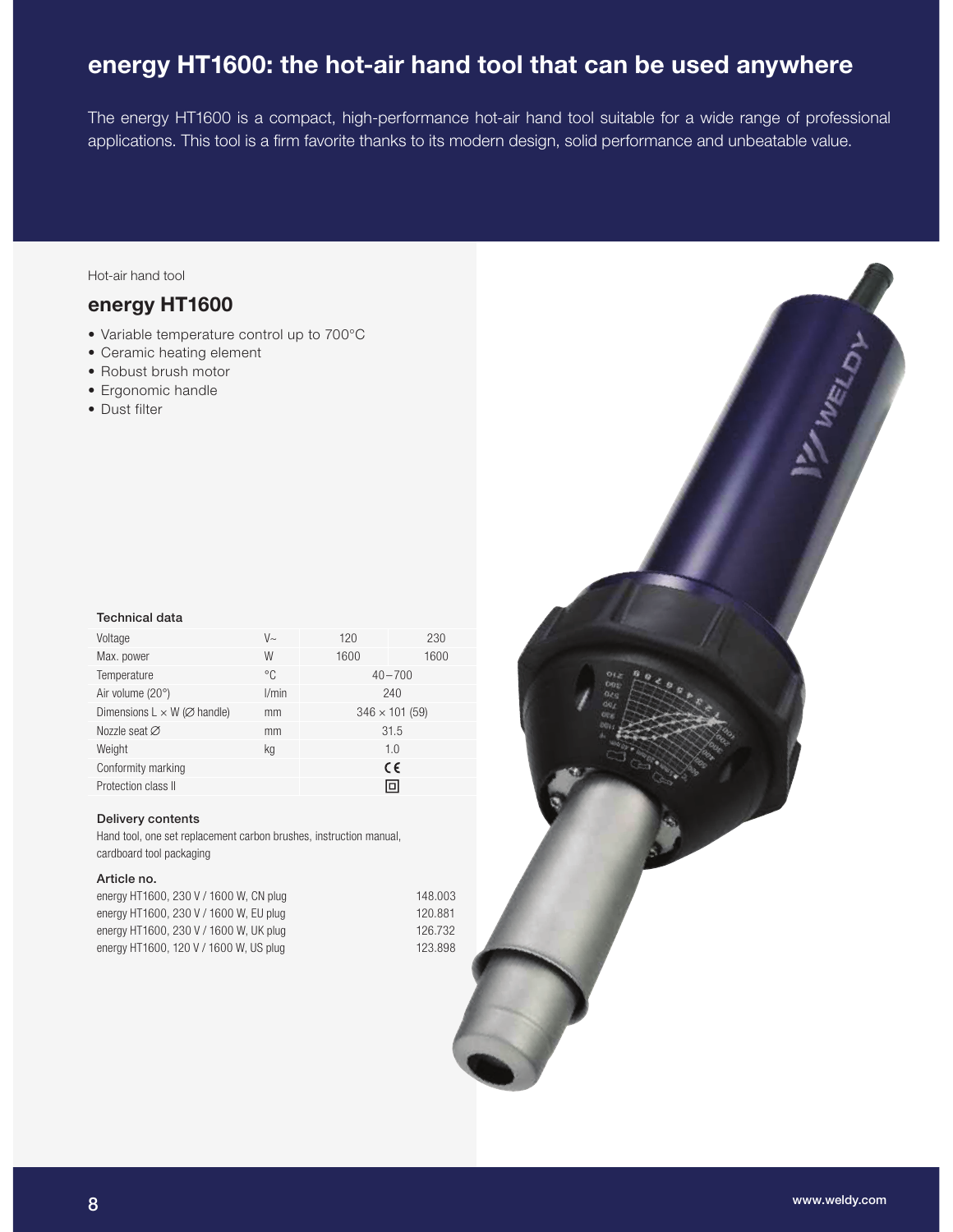# energy HT1600: the hot-air hand tool that can be used anywhere

The energy HT1600 is a compact, high-performance hot-air hand tool suitable for a wide range of professional applications. This tool is a firm favorite thanks to its modern design, solid performance and unbeatable value.

Hot-air hand tool

## energy HT1600

- Variable temperature control up to 700°C
- Ceramic heating element
- Robust brush motor
- Ergonomic handle
- Dust filter

### Technical data

| Voltage                                         | $V_{\sim}$   | 120                   | 230  |  |
|-------------------------------------------------|--------------|-----------------------|------|--|
| Max. power                                      | W            | 1600                  | 1600 |  |
| Temperature                                     | $^{\circ}$ C | $40 - 700$            |      |  |
| Air volume (20°)                                | 1/min        | 240                   |      |  |
| Dimensions $L \times W$ ( $\varnothing$ handle) | mm           | $346 \times 101 (59)$ |      |  |
| Nozzle seat $\varnothing$                       | mm           | 31.5                  |      |  |
| Weight                                          | kg           | 1.0                   |      |  |
| Conformity marking                              |              |                       | CE   |  |
| Protection class II                             |              |                       | o    |  |

#### Delivery contents

Hand tool, one set replacement carbon brushes, instruction manual, cardboard tool packaging

#### Article no.

| energy HT1600, 230 V / 1600 W, CN plug | 148.003 |
|----------------------------------------|---------|
| energy HT1600, 230 V / 1600 W, EU plug | 120.881 |
| energy HT1600, 230 V / 1600 W, UK plug | 126.732 |
| energy HT1600, 120 V / 1600 W, US plug | 123.898 |

123.898